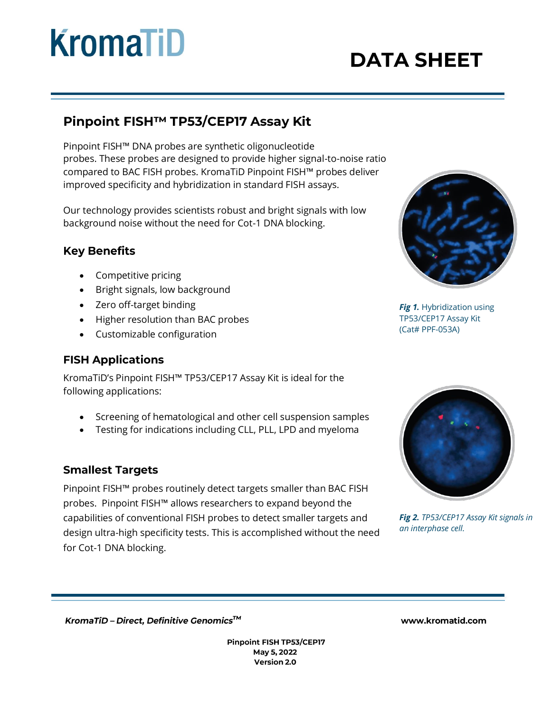# **KromaTiD**

## **DATA SHEET**

### Pinpoint FISH™ TP53/CEP17 Assay Kit

Pinpoint FISH™ DNA probes are synthetic oligonucleotide probes. These probes are designed to provide higher signal-to-noise ratio compared to BAC FISH probes. KromaTiD Pinpoint FISH™ probes deliver improved specificity and hybridization in standard FISH assays.

Our technology provides scientists robust and bright signals with low background noise without the need for Cot-1 DNA blocking.

#### **Key Benefits**

- Competitive pricing
- Bright signals, low background
- Zero off-target binding
- Higher resolution than BAC probes
- Customizable configuration

#### **FISH Applications**

KromaTiD's Pinpoint FISH™ TP53/CEP17 Assay Kit is ideal for the following applications:

- Screening of hematological and other cell suspension samples
- Testing for indications including CLL, PLL, LPD and myeloma

#### **Smallest Targets**

Pinpoint FISH™ probes routinely detect targets smaller than BAC FISH probes. Pinpoint FISH™ allows researchers to expand beyond the capabilities of conventional FISH probes to detect smaller targets and design ultra-high specificity tests. This is accomplished without the need for Cot-1 DNA blocking.



**Fig 1.** Hybridization using TP53/CEP17 Assay Kit (Cat# PPF-053A)



*Fig 2. TP53/CEP17 Assay Kit signals in an interphase cell.*

KromaTiD - Direct, Definitive Genomics™

Pinpoint FISH TP53/CEP17 May 5, 2022 Version 2.0

www.kromatid.com